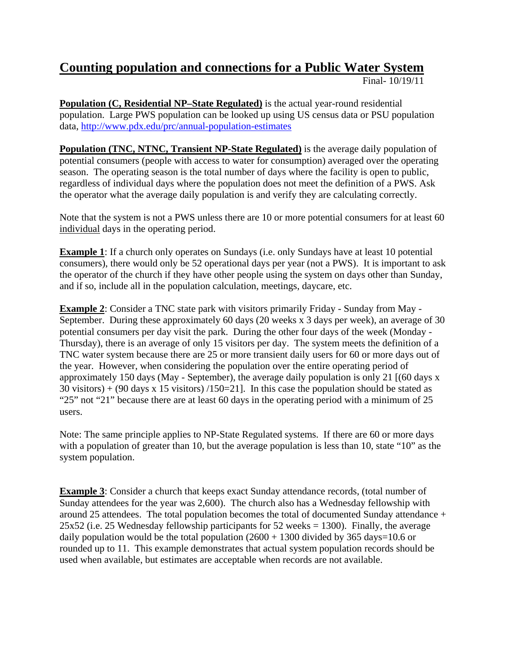## **Counting population and connections for a Public Water System**

Final- 10/19/11

**Population (C, Residential NP–State Regulated)** is the actual year-round residential population. Large PWS population can be looked up using US census data or PSU population data,<http://www.pdx.edu/prc/annual-population-estimates>

**Population (TNC, NTNC, Transient NP-State Regulated)** is the average daily population of potential consumers (people with access to water for consumption) averaged over the operating season. The operating season is the total number of days where the facility is open to public, regardless of individual days where the population does not meet the definition of a PWS. Ask the operator what the average daily population is and verify they are calculating correctly.

Note that the system is not a PWS unless there are 10 or more potential consumers for at least 60 individual days in the operating period.

**Example 1**: If a church only operates on Sundays (i.e. only Sundays have at least 10 potential consumers), there would only be 52 operational days per year (not a PWS). It is important to ask the operator of the church if they have other people using the system on days other than Sunday, and if so, include all in the population calculation, meetings, daycare, etc.

**Example 2**: Consider a TNC state park with visitors primarily Friday - Sunday from May - September. During these approximately 60 days (20 weeks x 3 days per week), an average of 30 potential consumers per day visit the park. During the other four days of the week (Monday - Thursday), there is an average of only 15 visitors per day. The system meets the definition of a TNC water system because there are 25 or more transient daily users for 60 or more days out of the year. However, when considering the population over the entire operating period of approximately 150 days (May - September), the average daily population is only 21 [(60 days x 30 visitors) + (90 days x 15 visitors)  $/150=21$ . In this case the population should be stated as "25" not "21" because there are at least 60 days in the operating period with a minimum of 25 users.

Note: The same principle applies to NP-State Regulated systems. If there are 60 or more days with a population of greater than 10, but the average population is less than 10, state "10" as the system population.

**Example** 3: Consider a church that keeps exact Sunday attendance records, (total number of Sunday attendees for the year was 2,600). The church also has a Wednesday fellowship with around 25 attendees. The total population becomes the total of documented Sunday attendance +  $25x52$  (i.e. 25 Wednesday fellowship participants for 52 weeks = 1300). Finally, the average daily population would be the total population  $(2600 + 1300)$  divided by 365 days=10.6 or rounded up to 11. This example demonstrates that actual system population records should be used when available, but estimates are acceptable when records are not available.